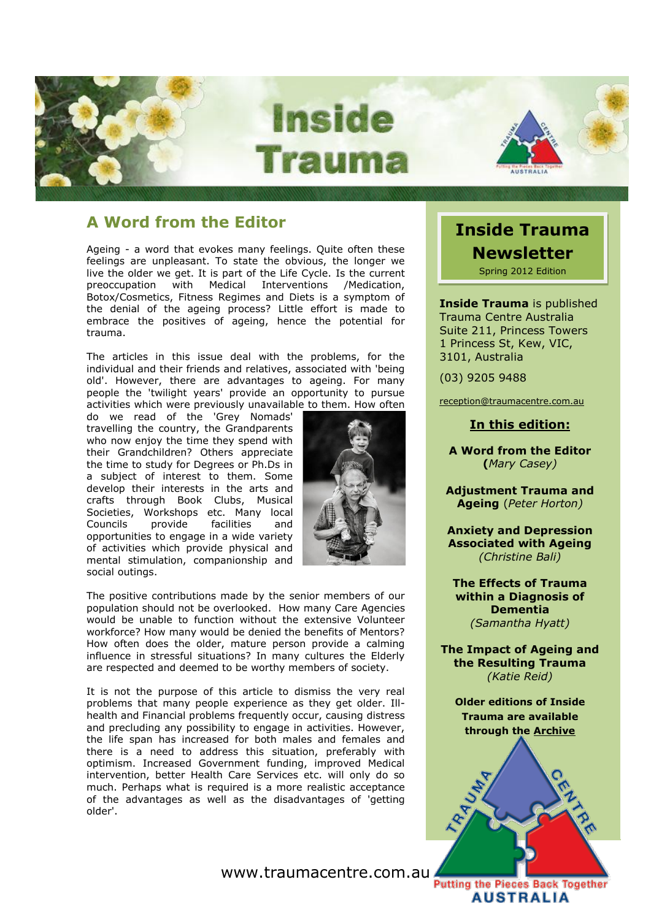

### **A Word from the Editor**

Ageing - a word that evokes many feelings. Quite often these feelings are unpleasant. To state the obvious, the longer we live the older we get. It is part of the Life Cycle. Is the current preoccupation with Medical Interventions /Medication, Botox/Cosmetics, Fitness Regimes and Diets is a symptom of the denial of the ageing process? Little effort is made to embrace the positives of ageing, hence the potential for trauma.

The articles in this issue deal with the problems, for the individual and their friends and relatives, associated with 'being old'. However, there are advantages to ageing. For many people the 'twilight years' provide an opportunity to pursue activities which were previously unavailable to them. How often

do we read of the 'Grey Nomads' travelling the country, the Grandparents who now enjoy the time they spend with their Grandchildren? Others appreciate the time to study for Degrees or Ph.Ds in a subject of interest to them. Some develop their interests in the arts and crafts through Book Clubs, Musical Societies, Workshops etc. Many local Councils provide facilities and opportunities to engage in a wide variety of activities which provide physical and mental stimulation, companionship and social outings.



The positive contributions made by the senior members of our population should not be overlooked. How many Care Agencies would be unable to function without the extensive Volunteer workforce? How many would be denied the benefits of Mentors? How often does the older, mature person provide a calming influence in stressful situations? In many cultures the Elderly are respected and deemed to be worthy members of society.

It is not the purpose of this article to dismiss the very real problems that many people experience as they get older. Illhealth and Financial problems frequently occur, causing distress and precluding any possibility to engage in activities. However, the life span has increased for both males and females and there is a need to address this situation, preferably with optimism. Increased Government funding, improved Medical intervention, better Health Care Services etc. will only do so much. Perhaps what is required is a more realistic acceptance of the advantages as well as the disadvantages of 'getting older'.

www.traumacentre.com.au

# **Inside Trauma Newsletter**

Spring 2012 Edition

**Inside Trauma** is published Trauma Centre Australia Suite 211, Princess Towers 1 Princess St, Kew, VIC, 3101, Australia

(03) 9205 9488

[reception@traumacentre.com.au](mailto:reception@traumacentre.com.au)

### **In this edition:**

**A Word from the Editor (***Mary Casey)*

**Adjustment Trauma and Ageing** (*Peter Horton)*

**Anxiety and Depression Associated with Ageing** *(Christine Bali)*

**The Effects of Trauma within a Diagnosis of Dementia** *(Samantha Hyatt)*

**The Impact of Ageing and the Resulting Trauma** *(Katie Reid)*

**Older editions of Inside Trauma are available [through the](http://www.traumacentre.com.au/) [Archive](http://www.traumacentre.com.au/newsletter/index.html)**



**AUSTRALIA**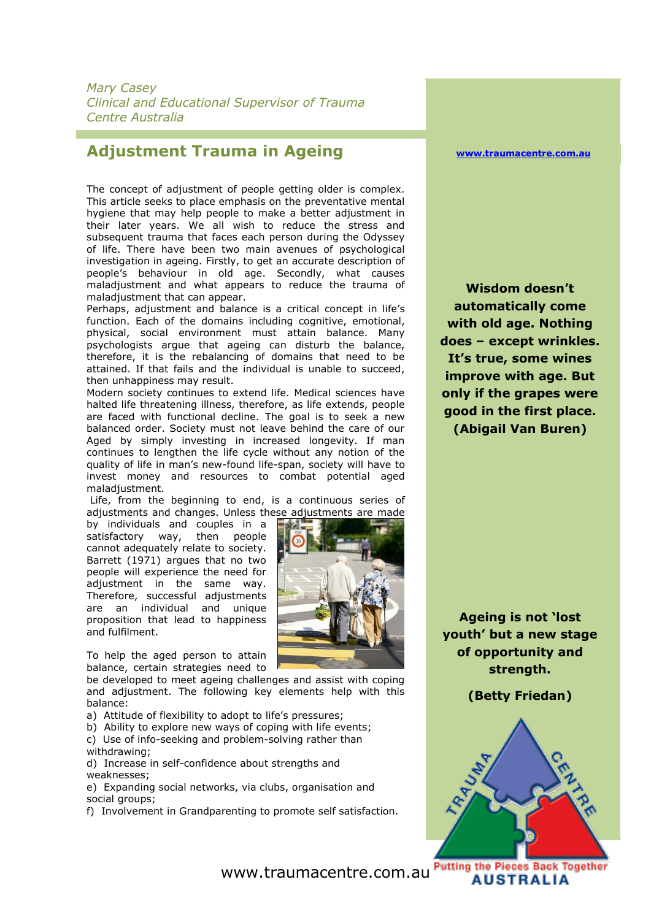*Mary Casey Clinical and Educational Supervisor of Trauma Centre Australia*

### **Adjustment Trauma in Ageing**

The concept of adjustment of people getting older is complex. This article seeks to place emphasis on the preventative mental hygiene that may help people to make a better adjustment in their later years. We all wish to reduce the stress and subsequent trauma that faces each person during the Odyssey of life. There have been two main avenues of psychological investigation in ageing. Firstly, to get an accurate description of people's behaviour in old age. Secondly, what causes maladjustment and what appears to reduce the trauma of maladjustment that can appear.

Perhaps, adjustment and balance is a critical concept in life's function. Each of the domains including cognitive, emotional, physical, social environment must attain balance. Many psychologists argue that ageing can disturb the balance, therefore, it is the rebalancing of domains that need to be attained. If that fails and the individual is unable to succeed, then unhappiness may result.

Modern society continues to extend life. Medical sciences have halted life threatening illness, therefore, as life extends, people are faced with functional decline. The goal is to seek a new balanced order. Society must not leave behind the care of our Aged by simply investing in increased longevity. If man continues to lengthen the life cycle without any notion of the quality of life in man's new-found life-span, society will have to invest money and resources to combat potential aged maladjustment.

Life, from the beginning to end, is a continuous series of adjustments and changes. Unless these adjustments are made

by individuals and couples in a satisfactory way, then people cannot adequately relate to society. Barrett (1971) argues that no two people will experience the need for adjustment in the same way. Therefore, successful adjustments are an individual and unique proposition that lead to happiness and fulfilment.



To help the aged person to attain balance, certain strategies need to

be developed to meet ageing challenges and assist with coping and adjustment. The following key elements help with this balance:

- a) Attitude of flexibility to adopt to life's pressures;
- b) Ability to explore new ways of coping with life events;
- c) Use of info-seeking and problem-solving rather than withdrawing;
- d) Increase in self-confidence about strengths and weaknesses;
- e) Expanding social networks, via clubs, organisation and social groups;
- f) Involvement in Grandparenting to promote self satisfaction.

**[www.traumacentre.com.au](http://www.traumacentre.com.au/)**

**Wisdom doesn't automatically come with old age. Nothing does – except wrinkles. It's true, some wines improve with age. But only if the grapes were good in the first place. (Abigail Van Buren)**

**Ageing is not 'lost youth' but a new stage of opportunity and strength.** 

**(Betty Friedan)**



www.traumacentre.com.au

**AUSTRALIA**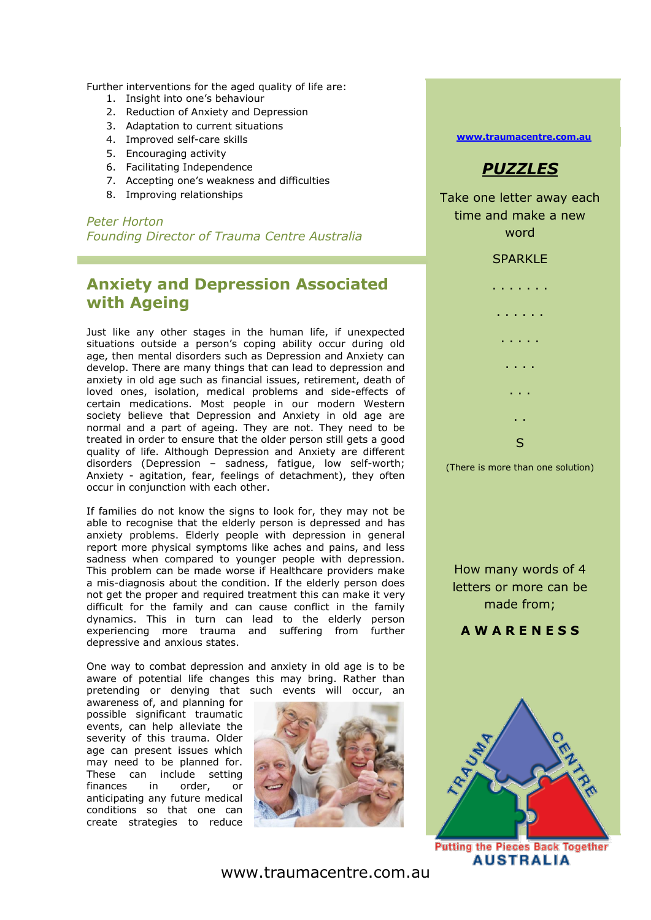Further interventions for the aged quality of life are:

- 1. Insight into one's behaviour
- 2. Reduction of Anxiety and Depression
- 3. Adaptation to current situations
- 4. Improved self-care skills
- 5. Encouraging activity
- 6. Facilitating Independence
- 7. Accepting one's weakness and difficulties
- 8. Improving relationships

*Peter Horton Founding Director of Trauma Centre Australia*

## **Anxiety and Depression Associated with Ageing**

Just like any other stages in the human life, if unexpected situations outside a person's coping ability occur during old age, then mental disorders such as Depression and Anxiety can develop. There are many things that can lead to depression and anxiety in old age such as financial issues, retirement, death of loved ones, isolation, medical problems and side-effects of certain medications. Most people in our modern Western society believe that Depression and Anxiety in old age are normal and a part of ageing. They are not. They need to be treated in order to ensure that the older person still gets a good quality of life. Although Depression and Anxiety are different disorders (Depression – sadness, fatigue, low self-worth; Anxiety - agitation, fear, feelings of detachment), they often occur in conjunction with each other.

If families do not know the signs to look for, they may not be able to recognise that the elderly person is depressed and has anxiety problems. Elderly people with depression in general report more physical symptoms like aches and pains, and less sadness when compared to younger people with depression. This problem can be made worse if Healthcare providers make a mis-diagnosis about the condition. If the elderly person does not get the proper and required treatment this can make it very difficult for the family and can cause conflict in the family dynamics. This in turn can lead to the elderly person experiencing more trauma and suffering from further depressive and anxious states.

One way to combat depression and anxiety in old age is to be aware of potential life changes this may bring. Rather than pretending or denying that such events will occur, an

awareness of, and planning for possible significant traumatic events, can help alleviate the severity of this trauma. Older age can present issues which may need to be planned for. These can include setting<br>finances in order, or finances in order, or anticipating any future medical conditions so that one can create strategies to reduce



**[www.traumacentre.com.au](http://www.traumacentre.com.au/)**



Take one letter away each time and make a new word



How many words of 4 letters or more can be made from;

**A W A R E N E S S**



**Putting the Pieces Back Together AUSTRALIA** 

www.traumacentre.com.au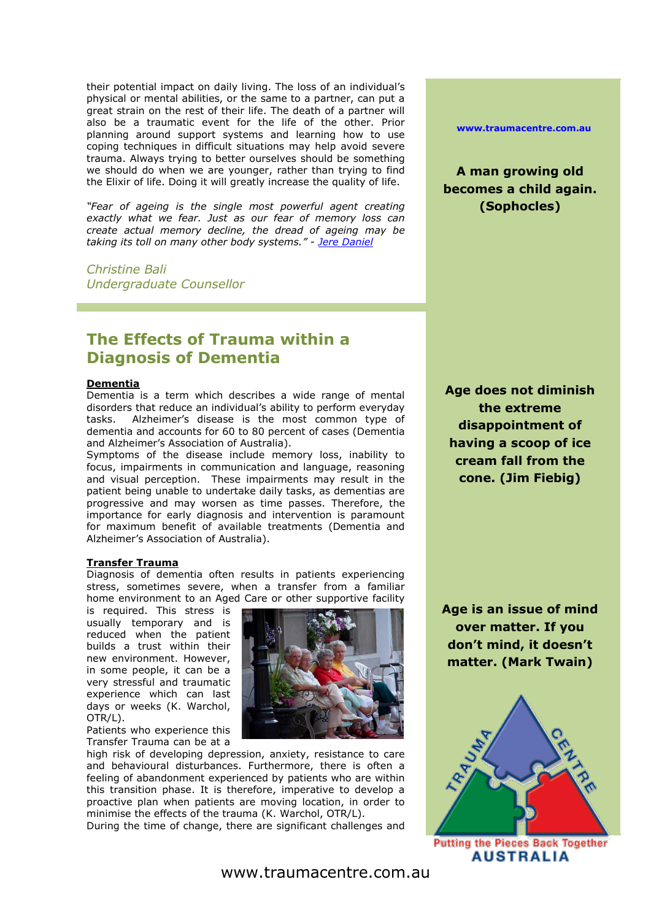their potential impact on daily living. The loss of an individual's physical or mental abilities, or the same to a partner, can put a great strain on the rest of their life. The death of a partner will also be a traumatic event for the life of the other. Prior planning around support systems and learning how to use coping techniques in difficult situations may help avoid severe trauma. Always trying to better ourselves should be something we should do when we are younger, rather than trying to find the Elixir of life. Doing it will greatly increase the quality of life.

*"Fear of ageing is the single most powerful agent creating exactly what we fear. Just as our fear of memory loss can create actual memory decline, the dread of ageing may be taking its toll on many other body systems." - [Jere Daniel](http://www.psychologytoday.com/articles/authors/jere-daniel)*

*Christine Bali Undergraduate Counsellor*

## **The Effects of Trauma within a Diagnosis of Dementia**

#### **Dementia**

Dementia is a term which describes a wide range of mental disorders that reduce an individual's ability to perform everyday tasks. Alzheimer's disease is the most common type of dementia and accounts for 60 to 80 percent of cases (Dementia and Alzheimer's Association of Australia).

Symptoms of the disease include memory loss, inability to focus, impairments in communication and language, reasoning and visual perception. These impairments may result in the patient being unable to undertake daily tasks, as dementias are progressive and may worsen as time passes. Therefore, the importance for early diagnosis and intervention is paramount for maximum benefit of available treatments (Dementia and Alzheimer's Association of Australia).

#### **Transfer Trauma**

Diagnosis of dementia often results in patients experiencing stress, sometimes severe, when a transfer from a familiar home environment to an Aged Care or other supportive facility

is required. This stress is usually temporary and is reduced when the patient builds a trust within their new environment. However, in some people, it can be a very stressful and traumatic experience which can last days or weeks (K. Warchol, OTR/L).

Patients who experience this Transfer Trauma can be at a

high risk of developing depression, anxiety, resistance to care and behavioural disturbances. Furthermore, there is often a feeling of abandonment experienced by patients who are within this transition phase. It is therefore, imperative to develop a proactive plan when patients are moving location, in order to minimise the effects of the trauma (K. Warchol, OTR/L).

During the time of change, there are significant challenges and

**[www.traumacentre.com.au](http://www.traumacentre.com.au/)**

**A man growing old becomes a child again. (Sophocles)**

**Age does not diminish the extreme disappointment of having a scoop of ice cream fall from the cone. (Jim Fiebig)**

**Age is an issue of mind over matter. If you don't mind, it doesn't matter. (Mark Twain)**



**Putting the Pieces Back Together AUSTRALIA**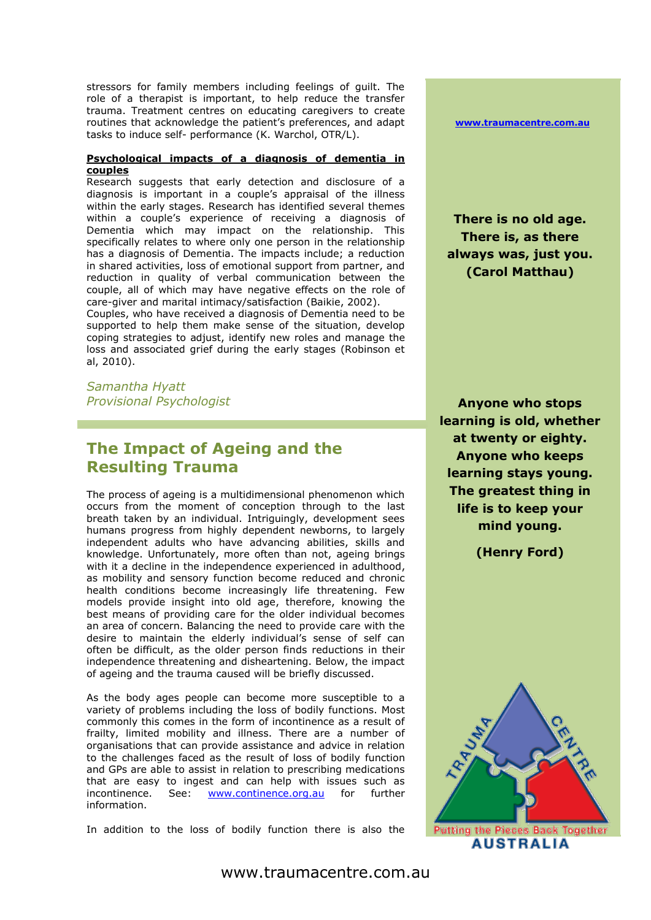stressors for family members including feelings of guilt. The role of a therapist is important, to help reduce the transfer trauma. Treatment centres on educating caregivers to create routines that acknowledge the patient's preferences, and adapt tasks to induce self- performance (K. Warchol, OTR/L).

#### **Psychological impacts of a diagnosis of dementia in couples**

Research suggests that early detection and disclosure of a diagnosis is important in a couple's appraisal of the illness within the early stages. Research has identified several themes within a couple's experience of receiving a diagnosis of Dementia which may impact on the relationship. This specifically relates to where only one person in the relationship has a diagnosis of Dementia. The impacts include; a reduction in shared activities, loss of emotional support from partner, and reduction in quality of verbal communication between the couple, all of which may have negative effects on the role of care-giver and marital intimacy/satisfaction (Baikie, 2002).

Couples, who have received a diagnosis of Dementia need to be supported to help them make sense of the situation, develop coping strategies to adjust, identify new roles and manage the loss and associated grief during the early stages (Robinson et al, 2010).

*Samantha Hyatt Provisional Psychologist*

## **The Impact of Ageing and the Resulting Trauma**

The process of ageing is a multidimensional phenomenon which occurs from the moment of conception through to the last breath taken by an individual. Intriguingly, development sees humans progress from highly dependent newborns, to largely independent adults who have advancing abilities, skills and knowledge. Unfortunately, more often than not, ageing brings with it a decline in the independence experienced in adulthood, as mobility and sensory function become reduced and chronic health conditions become increasingly life threatening. Few models provide insight into old age, therefore, knowing the best means of providing care for the older individual becomes an area of concern. Balancing the need to provide care with the desire to maintain the elderly individual's sense of self can often be difficult, as the older person finds reductions in their independence threatening and disheartening. Below, the impact of ageing and the trauma caused will be briefly discussed.

As the body ages people can become more susceptible to a variety of problems including the loss of bodily functions. Most commonly this comes in the form of incontinence as a result of frailty, limited mobility and illness. There are a number of organisations that can provide assistance and advice in relation to the challenges faced as the result of loss of bodily function and GPs are able to assist in relation to prescribing medications that are easy to ingest and can help with issues such as incontinence. See: **[www.continence.org.au](http://www.continence.org.au/)** for further information.

In addition to the loss of bodily function there is also the

**[www.traumacentre.com.au](http://www.traumacentre.com.au/)**

**There is no old age. There is, as there always was, just you. (Carol Matthau)**

**Anyone who stops learning is old, whether at twenty or eighty. Anyone who keeps learning stays young. The greatest thing in life is to keep your mind young.**

**(Henry Ford)**



www.traumacentre.com.au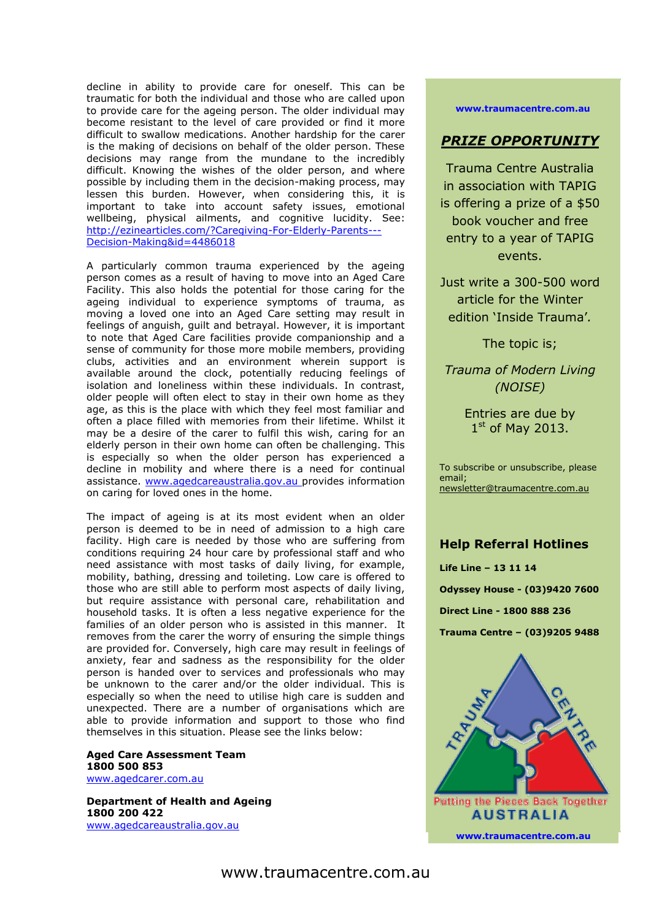decline in ability to provide care for oneself. This can be traumatic for both the individual and those who are called upon to provide care for the ageing person. The older individual may become resistant to the level of care provided or find it more difficult to swallow medications. Another hardship for the carer is the making of decisions on behalf of the older person. These decisions may range from the mundane to the incredibly difficult. Knowing the wishes of the older person, and where possible by including them in the decision-making process, may lessen this burden. However, when considering this, it is important to take into account safety issues, emotional wellbeing, physical ailments, and cognitive lucidity. See: [http://ezinearticles.com/?Caregiving-For-Elderly-Parents---](http://ezinearticles.com/?Caregiving-For-Elderly-Parents---Decision-Making&id=4486018) [Decision-Making&id=4486018](http://ezinearticles.com/?Caregiving-For-Elderly-Parents---Decision-Making&id=4486018)

A particularly common trauma experienced by the ageing person comes as a result of having to move into an Aged Care Facility. This also holds the potential for those caring for the ageing individual to experience symptoms of trauma, as moving a loved one into an Aged Care setting may result in feelings of anguish, guilt and betrayal. However, it is important to note that Aged Care facilities provide companionship and a sense of community for those more mobile members, providing clubs, activities and an environment wherein support is available around the clock, potentially reducing feelings of isolation and loneliness within these individuals. In contrast, older people will often elect to stay in their own home as they age, as this is the place with which they feel most familiar and often a place filled with memories from their lifetime. Whilst it may be a desire of the carer to fulfil this wish, caring for an elderly person in their own home can often be challenging. This is especially so when the older person has experienced a decline in mobility and where there is a need for continual assistance. [www.agedcareaustralia.gov.au](http://www.agedcareaustralia.gov.au/) provides information on caring for loved ones in the home.

The impact of ageing is at its most evident when an older person is deemed to be in need of admission to a high care facility. High care is needed by those who are suffering from conditions requiring 24 hour care by professional staff and who need assistance with most tasks of daily living, for example, mobility, bathing, dressing and toileting. Low care is offered to those who are still able to perform most aspects of daily living, but require assistance with personal care, rehabilitation and household tasks. It is often a less negative experience for the families of an older person who is assisted in this manner. It removes from the carer the worry of ensuring the simple things are provided for. Conversely, high care may result in feelings of anxiety, fear and sadness as the responsibility for the older person is handed over to services and professionals who may be unknown to the carer and/or the older individual. This is especially so when the need to utilise high care is sudden and unexpected. There are a number of organisations which are able to provide information and support to those who find themselves in this situation. Please see the links below:

#### **Aged Care Assessment Team 1800 500 853** [www.agedcarer.com.au](http://www.agedcarer.com.au/)

**Department of Health and Ageing 1800 200 422** [www.agedcareaustralia.gov.au](http://www.agedcareaustralia.gov.au/)

#### **[www.traumacentre.com.au](http://www.traumacentre.com.au/)**

### *PRIZE OPPORTUNITY*

Trauma Centre Australia in association with TAPIG is offering a prize of a \$50 book voucher and free entry to a year of TAPIG events.

Just write a 300-500 word article for the Winter edition 'Inside Trauma'*.* 

The topic is;

*Trauma of Modern Living (NOISE)*

> Entries are due by 1st of May 2013.

To subscribe or unsubscribe, please email; [newsletter@traumacentre.com.au](mailto:newsletter@traumacentre.com.au?subject=Newsletter%20-%20Unsubcribe)

### **Help Referral Hotlines**

**Life Line – 13 11 14 Odyssey House - (03)9420 7600 Direct Line - 1800 888 236 Trauma Centre – (03)9205 9488**